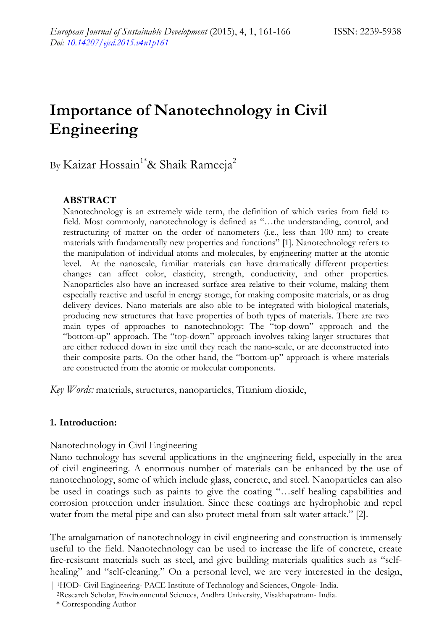# **Importance of Nanotechnology in Civil Engineering**

# By Kaizar Hossain<sup>1\*</sup>& Shaik Rameeja<sup>2</sup>

# **ABSTRACT**

Nanotechnology is an extremely wide term, the definition of which varies from field to field. Most commonly, nanotechnology is defined as "…the understanding, control, and restructuring of matter on the order of nanometers (i.e., less than 100 nm) to create materials with fundamentally new properties and functions" [1]. Nanotechnology refers to the manipulation of individual atoms and molecules, by engineering matter at the atomic level. At the nanoscale, familiar materials can have dramatically different properties: changes can affect color, elasticity, strength, conductivity, and other properties. Nanoparticles also have an increased surface area relative to their volume, making them especially reactive and useful in energy storage, for making composite materials, or as drug delivery devices. Nano materials are also able to be integrated with biological materials, producing new structures that have properties of both types of materials. There are two main types of approaches to nanotechnology: The "top-down" approach and the "bottom-up" approach. The "top-down" approach involves taking larger structures that are either reduced down in size until they reach the nano-scale, or are deconstructed into their composite parts. On the other hand, the "bottom-up" approach is where materials are constructed from the atomic or molecular components.

*Key Words:* materials, structures, nanoparticles, Titanium dioxide,

# **1. Introduction:**

Nanotechnology in Civil Engineering

Nano technology has several applications in the engineering field, especially in the area of civil engineering. A enormous number of materials can be enhanced by the use of nanotechnology, some of which include glass, concrete, and steel. Nanoparticles can also be used in coatings such as paints to give the coating "…self healing capabilities and corrosion protection under insulation. Since these coatings are hydrophobic and repel water from the metal pipe and can also protect metal from salt water attack." [2].

The amalgamation of nanotechnology in civil engineering and construction is immensely useful to the field. Nanotechnology can be used to increase the life of concrete, create fire-resistant materials such as steel, and give building materials qualities such as "selfhealing" and "self-cleaning." On a personal level, we are very interested in the design,

| 1HOD- Civil Engineering- PACE Institute of Technology and Sciences, Ongole- India. 2Research Scholar, Environmental Sciences, Andhra University, Visakhapatnam- India.

\* Corresponding Author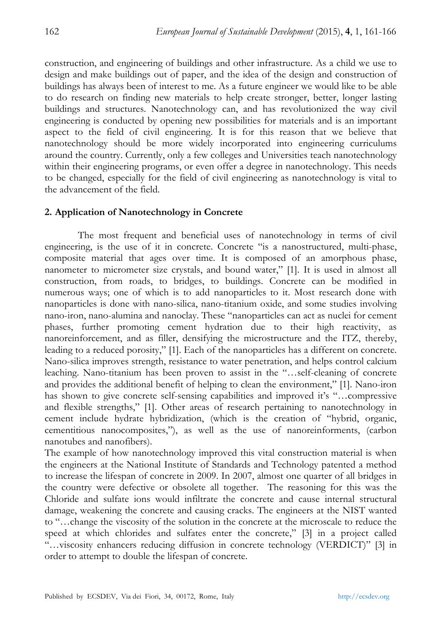construction, and engineering of buildings and other infrastructure. As a child we use to design and make buildings out of paper, and the idea of the design and construction of buildings has always been of interest to me. As a future engineer we would like to be able to do research on finding new materials to help create stronger, better, longer lasting buildings and structures. Nanotechnology can, and has revolutionized the way civil engineering is conducted by opening new possibilities for materials and is an important aspect to the field of civil engineering. It is for this reason that we believe that nanotechnology should be more widely incorporated into engineering curriculums around the country. Currently, only a few colleges and Universities teach nanotechnology within their engineering programs, or even offer a degree in nanotechnology. This needs to be changed, especially for the field of civil engineering as nanotechnology is vital to the advancement of the field.

#### **2. Application of Nanotechnology in Concrete**

The most frequent and beneficial uses of nanotechnology in terms of civil engineering, is the use of it in concrete. Concrete "is a nanostructured, multi-phase, composite material that ages over time. It is composed of an amorphous phase, nanometer to micrometer size crystals, and bound water," [1]. It is used in almost all construction, from roads, to bridges, to buildings. Concrete can be modified in numerous ways; one of which is to add nanoparticles to it. Most research done with nanoparticles is done with nano-silica, nano-titanium oxide, and some studies involving nano-iron, nano-alumina and nanoclay. These "nanoparticles can act as nuclei for cement phases, further promoting cement hydration due to their high reactivity, as nanoreinforcement, and as filler, densifying the microstructure and the ITZ, thereby, leading to a reduced porosity," [1]. Each of the nanoparticles has a different on concrete. Nano-silica improves strength, resistance to water penetration, and helps control calcium leaching. Nano-titanium has been proven to assist in the "…self-cleaning of concrete and provides the additional benefit of helping to clean the environment," [1]. Nano-iron has shown to give concrete self-sensing capabilities and improved it's "…compressive and flexible strengths," [1]. Other areas of research pertaining to nanotechnology in cement include hydrate hybridization, (which is the creation of "hybrid, organic, cementitious nanocomposites,"), as well as the use of nanoreinforments, (carbon nanotubes and nanofibers).

The example of how nanotechnology improved this vital construction material is when the engineers at the National Institute of Standards and Technology patented a method to increase the lifespan of concrete in 2009. In 2007, almost one quarter of all bridges in the country were defective or obsolete all together. The reasoning for this was the Chloride and sulfate ions would infiltrate the concrete and cause internal structural damage, weakening the concrete and causing cracks. The engineers at the NIST wanted to "…change the viscosity of the solution in the concrete at the microscale to reduce the speed at which chlorides and sulfates enter the concrete," [3] in a project called "…viscosity enhancers reducing diffusion in concrete technology (VERDICT)" [3] in order to attempt to double the lifespan of concrete.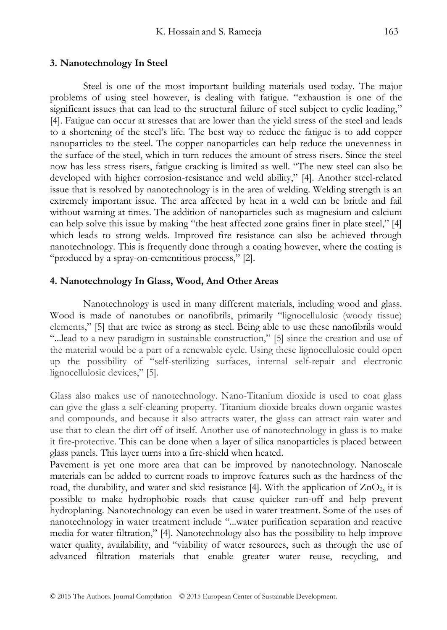#### **3. Nanotechnology In Steel**

Steel is one of the most important building materials used today. The major problems of using steel however, is dealing with fatigue. "exhaustion is one of the significant issues that can lead to the structural failure of steel subject to cyclic loading," [4]. Fatigue can occur at stresses that are lower than the yield stress of the steel and leads to a shortening of the steel's life. The best way to reduce the fatigue is to add copper nanoparticles to the steel. The copper nanoparticles can help reduce the unevenness in the surface of the steel, which in turn reduces the amount of stress risers. Since the steel now has less stress risers, fatigue cracking is limited as well. "The new steel can also be developed with higher corrosion-resistance and weld ability," [4]. Another steel-related issue that is resolved by nanotechnology is in the area of welding. Welding strength is an extremely important issue. The area affected by heat in a weld can be brittle and fail without warning at times. The addition of nanoparticles such as magnesium and calcium can help solve this issue by making "the heat affected zone grains finer in plate steel," [4] which leads to strong welds. Improved fire resistance can also be achieved through nanotechnology. This is frequently done through a coating however, where the coating is "produced by a spray-on-cementitious process," [2].

#### **4. Nanotechnology In Glass, Wood, And Other Areas**

Nanotechnology is used in many different materials, including wood and glass. Wood is made of nanotubes or nanofibrils, primarily "lignocellulosic (woody tissue) elements," [5] that are twice as strong as steel. Being able to use these nanofibrils would "...lead to a new paradigm in sustainable construction," [5] since the creation and use of the material would be a part of a renewable cycle. Using these lignocellulosic could open up the possibility of "self-sterilizing surfaces, internal self-repair and electronic lignocellulosic devices," [5].

Glass also makes use of nanotechnology. Nano-Titanium dioxide is used to coat glass can give the glass a self-cleaning property. Titanium dioxide breaks down organic wastes and compounds, and because it also attracts water, the glass can attract rain water and use that to clean the dirt off of itself. Another use of nanotechnology in glass is to make it fire-protective. This can be done when a layer of silica nanoparticles is placed between glass panels. This layer turns into a fire-shield when heated.

Pavement is yet one more area that can be improved by nanotechnology. Nanoscale materials can be added to current roads to improve features such as the hardness of the road, the durability, and water and skid resistance [4]. With the application of  $ZnO<sub>2</sub>$ , it is possible to make hydrophobic roads that cause quicker run-off and help prevent hydroplaning. Nanotechnology can even be used in water treatment. Some of the uses of nanotechnology in water treatment include "...water purification separation and reactive media for water filtration," [4]. Nanotechnology also has the possibility to help improve water quality, availability, and "viability of water resources, such as through the use of advanced filtration materials that enable greater water reuse, recycling, and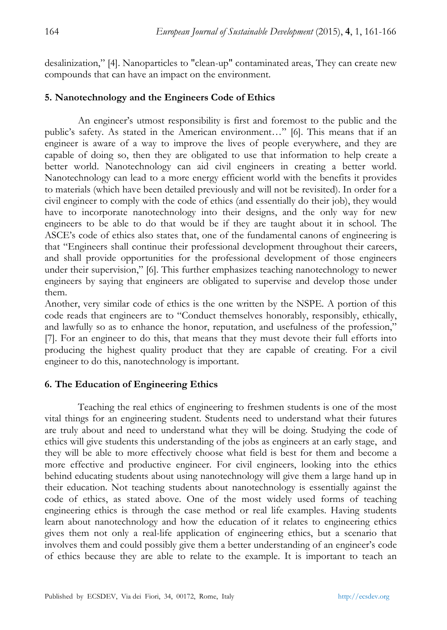desalinization," [4]. Nanoparticles to "clean-up" contaminated areas, They can create new compounds that can have an impact on the environment.

# **5. Nanotechnology and the Engineers Code of Ethics**

An engineer's utmost responsibility is first and foremost to the public and the public's safety. As stated in the American environment…" [6]. This means that if an engineer is aware of a way to improve the lives of people everywhere, and they are capable of doing so, then they are obligated to use that information to help create a better world. Nanotechnology can aid civil engineers in creating a better world. Nanotechnology can lead to a more energy efficient world with the benefits it provides to materials (which have been detailed previously and will not be revisited). In order for a civil engineer to comply with the code of ethics (and essentially do their job), they would have to incorporate nanotechnology into their designs, and the only way for new engineers to be able to do that would be if they are taught about it in school. The ASCE's code of ethics also states that, one of the fundamental canons of engineering is that "Engineers shall continue their professional development throughout their careers, and shall provide opportunities for the professional development of those engineers under their supervision," [6]. This further emphasizes teaching nanotechnology to newer engineers by saying that engineers are obligated to supervise and develop those under them.

Another, very similar code of ethics is the one written by the NSPE. A portion of this code reads that engineers are to "Conduct themselves honorably, responsibly, ethically, and lawfully so as to enhance the honor, reputation, and usefulness of the profession," [7]. For an engineer to do this, that means that they must devote their full efforts into producing the highest quality product that they are capable of creating. For a civil engineer to do this, nanotechnology is important.

#### **6. The Education of Engineering Ethics**

Teaching the real ethics of engineering to freshmen students is one of the most vital things for an engineering student. Students need to understand what their futures are truly about and need to understand what they will be doing. Studying the code of ethics will give students this understanding of the jobs as engineers at an early stage, and they will be able to more effectively choose what field is best for them and become a more effective and productive engineer. For civil engineers, looking into the ethics behind educating students about using nanotechnology will give them a large hand up in their education. Not teaching students about nanotechnology is essentially against the code of ethics, as stated above. One of the most widely used forms of teaching engineering ethics is through the case method or real life examples. Having students learn about nanotechnology and how the education of it relates to engineering ethics gives them not only a real-life application of engineering ethics, but a scenario that involves them and could possibly give them a better understanding of an engineer's code of ethics because they are able to relate to the example. It is important to teach an